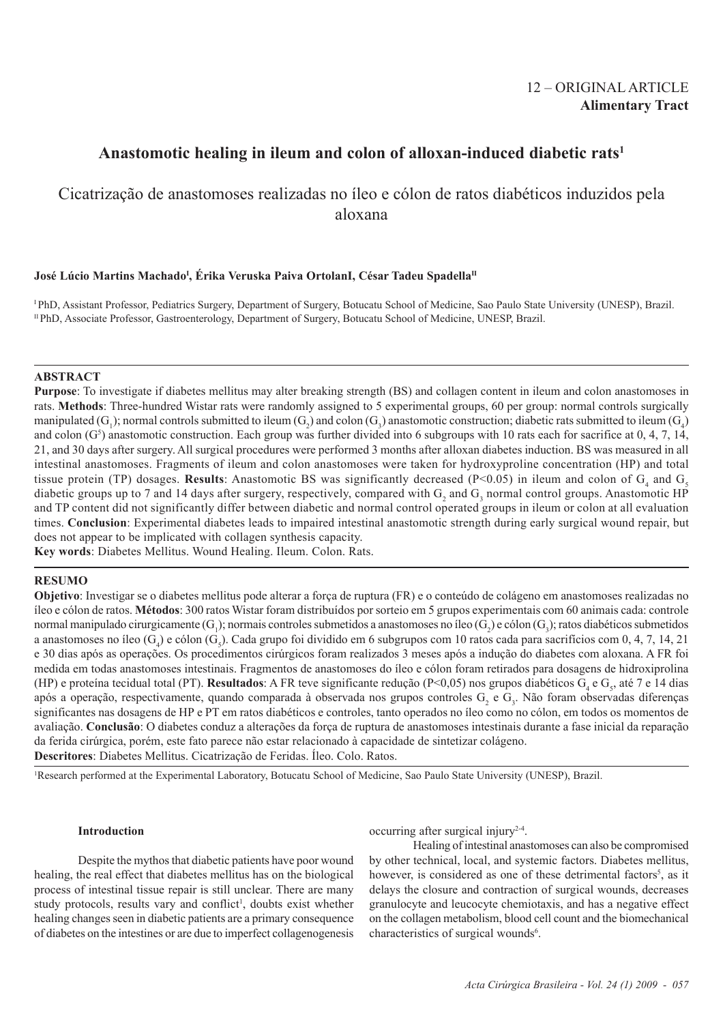## 12 – ORIGINAL ARTICLE **Alimentary Tract**

# **Anastomotic healing in ileum and colon of alloxan-induced diabetic rats1**

# Cicatrização de anastomoses realizadas no íleo e cólon de ratos diabéticos induzidos pela aloxana

## José Lúcio Martins Machado<sup>l</sup>, Érika Veruska Paiva OrtolanI, César Tadeu Spadella<sup>n</sup>

I PhD, Assistant Professor, Pediatrics Surgery, Department of Surgery, Botucatu School of Medicine, Sao Paulo State University (UNESP), Brazil. II PhD, Associate Professor, Gastroenterology, Department of Surgery, Botucatu School of Medicine, UNESP, Brazil.

## **ABSTRACT**

**Purpose**: To investigate if diabetes mellitus may alter breaking strength (BS) and collagen content in ileum and colon anastomoses in rats. **Methods**: Three-hundred Wistar rats were randomly assigned to 5 experimental groups, 60 per group: normal controls surgically manipulated (G<sub>1</sub>); normal controls submitted to ileum (G<sub>2</sub>) and colon (G<sub>3</sub>) anastomotic construction; diabetic rats submitted to ileum (G<sub>4</sub>) and colon  $(G<sup>5</sup>)$  anastomotic construction. Each group was further divided into 6 subgroups with 10 rats each for sacrifice at 0, 4, 7, 14, 21, and 30 days after surgery. All surgical procedures were performed 3 months after alloxan diabetes induction. BS was measured in all intestinal anastomoses. Fragments of ileum and colon anastomoses were taken for hydroxyproline concentration (HP) and total tissue protein (TP) dosages. **Results**: Anastomotic BS was significantly decreased (P<0.05) in ileum and colon of  $G_4$  and  $G_5$ diabetic groups up to 7 and 14 days after surgery, respectively, compared with  $G_2$  and  $G_3$  normal control groups. Anastomotic HP and TP content did not significantly differ between diabetic and normal control operated groups in ileum or colon at all evaluation times. **Conclusion**: Experimental diabetes leads to impaired intestinal anastomotic strength during early surgical wound repair, but does not appear to be implicated with collagen synthesis capacity.

**Key words**: Diabetes Mellitus. Wound Healing. Ileum. Colon. Rats.

## **RESUMO**

**Objetivo**: Investigar se o diabetes mellitus pode alterar a força de ruptura (FR) e o conteúdo de colágeno em anastomoses realizadas no íleo e cólon de ratos. **Métodos**: 300 ratos Wistar foram distribuídos por sorteio em 5 grupos experimentais com 60 animais cada: controle normal manipulado cirurgicamente (G<sub>1</sub>); normais controles submetidos a anastomoses no íleo (G<sub>2</sub>) e cólon (G<sub>3</sub>); ratos diabéticos submetidos a anastomoses no íleo (G<sub>4</sub>) e cólon (G<sub>5</sub>). Cada grupo foi dividido em 6 subgrupos com 10 ratos cada para sacrifícios com 0, 4, 7, 14, 21 e 30 dias após as operações. Os procedimentos cirúrgicos foram realizados 3 meses após a indução do diabetes com aloxana. A FR foi medida em todas anastomoses intestinais. Fragmentos de anastomoses do íleo e cólon foram retirados para dosagens de hidroxiprolina (HP) e proteína tecidual total (PT). **Resultados**: A FR teve significante redução (P<0,05) nos grupos diabéticos  $G_4$  e  $G_5$ , até 7 e 14 dias após a operação, respectivamente, quando comparada à observada nos grupos controles  $G_2$  e  $G_3$ . Não foram observadas diferenças significantes nas dosagens de HP e PT em ratos diabéticos e controles, tanto operados no íleo como no cólon, em todos os momentos de avaliação. **Conclusão**: O diabetes conduz a alterações da força de ruptura de anastomoses intestinais durante a fase inicial da reparação da ferida cirúrgica, porém, este fato parece não estar relacionado à capacidade de sintetizar colágeno. **Descritores**: Diabetes Mellitus. Cicatrização de Feridas. Íleo. Colo. Ratos.

1 Research performed at the Experimental Laboratory, Botucatu School of Medicine, Sao Paulo State University (UNESP), Brazil.

#### **Introduction**

Despite the mythos that diabetic patients have poor wound healing, the real effect that diabetes mellitus has on the biological process of intestinal tissue repair is still unclear. There are many study protocols, results vary and conflict<sup>1</sup>, doubts exist whether healing changes seen in diabetic patients are a primary consequence of diabetes on the intestines or are due to imperfect collagenogenesis

occurring after surgical injury2-4.

Healing of intestinal anastomoses can also be compromised by other technical, local, and systemic factors. Diabetes mellitus, however, is considered as one of these detrimental factors<sup>5</sup>, as it delays the closure and contraction of surgical wounds, decreases granulocyte and leucocyte chemiotaxis, and has a negative effect on the collagen metabolism, blood cell count and the biomechanical characteristics of surgical wounds<sup>6</sup>.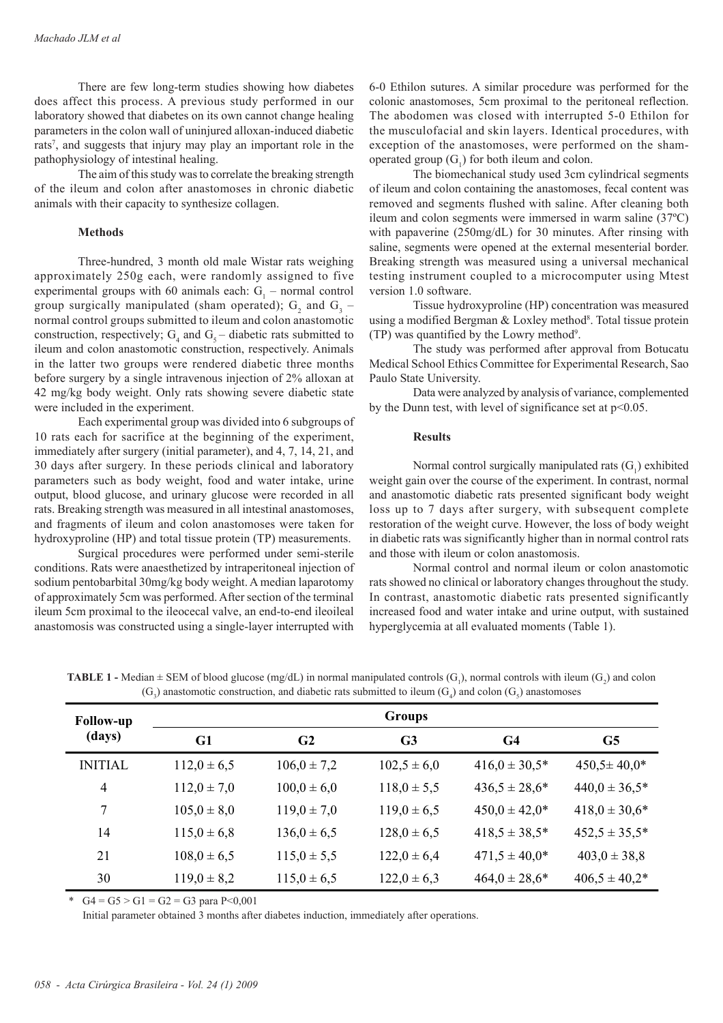There are few long-term studies showing how diabetes does affect this process. A previous study performed in our laboratory showed that diabetes on its own cannot change healing parameters in the colon wall of uninjured alloxan-induced diabetic rats<sup>7</sup>, and suggests that injury may play an important role in the pathophysiology of intestinal healing.

The aim of this study was to correlate the breaking strength of the ileum and colon after anastomoses in chronic diabetic animals with their capacity to synthesize collagen.

## **Methods**

Three-hundred, 3 month old male Wistar rats weighing approximately 250g each, were randomly assigned to five experimental groups with 60 animals each:  $G_1$  – normal control group surgically manipulated (sham operated);  $G_2$  and  $G_3$  – normal control groups submitted to ileum and colon anastomotic construction, respectively;  $G_4$  and  $G_5$  – diabetic rats submitted to ileum and colon anastomotic construction, respectively. Animals in the latter two groups were rendered diabetic three months before surgery by a single intravenous injection of 2% alloxan at 42 mg/kg body weight. Only rats showing severe diabetic state were included in the experiment.

Each experimental group was divided into 6 subgroups of 10 rats each for sacrifice at the beginning of the experiment, immediately after surgery (initial parameter), and 4, 7, 14, 21, and 30 days after surgery. In these periods clinical and laboratory parameters such as body weight, food and water intake, urine output, blood glucose, and urinary glucose were recorded in all rats. Breaking strength was measured in all intestinal anastomoses, and fragments of ileum and colon anastomoses were taken for hydroxyproline (HP) and total tissue protein (TP) measurements.

Surgical procedures were performed under semi-sterile conditions. Rats were anaesthetized by intraperitoneal injection of sodium pentobarbital 30mg/kg body weight. A median laparotomy of approximately 5cm was performed. After section of the terminal ileum 5cm proximal to the ileocecal valve, an end-to-end ileoileal anastomosis was constructed using a single-layer interrupted with

6-0 Ethilon sutures. A similar procedure was performed for the colonic anastomoses, 5cm proximal to the peritoneal reflection. The abodomen was closed with interrupted 5-0 Ethilon for the musculofacial and skin layers. Identical procedures, with exception of the anastomoses, were performed on the shamoperated group  $(G_1)$  for both ileum and colon.

The biomechanical study used 3cm cylindrical segments of ileum and colon containing the anastomoses, fecal content was removed and segments flushed with saline. After cleaning both ileum and colon segments were immersed in warm saline (37ºC) with papaverine (250mg/dL) for 30 minutes. After rinsing with saline, segments were opened at the external mesenterial border. Breaking strength was measured using a universal mechanical testing instrument coupled to a microcomputer using Mtest version 1.0 software.

Tissue hydroxyproline (HP) concentration was measured using a modified Bergman & Loxley method<sup>8</sup>. Total tissue protein (TP) was quantified by the Lowry method<sup>9</sup>.

The study was performed after approval from Botucatu Medical School Ethics Committee for Experimental Research, Sao Paulo State University.

Data were analyzed by analysis of variance, complemented by the Dunn test, with level of significance set at p<0.05.

## **Results**

Normal control surgically manipulated rats  $(G_1)$  exhibited weight gain over the course of the experiment. In contrast, normal and anastomotic diabetic rats presented significant body weight loss up to 7 days after surgery, with subsequent complete restoration of the weight curve. However, the loss of body weight in diabetic rats was significantly higher than in normal control rats and those with ileum or colon anastomosis.

Normal control and normal ileum or colon anastomotic rats showed no clinical or laboratory changes throughout the study. In contrast, anastomotic diabetic rats presented significantly increased food and water intake and urine output, with sustained hyperglycemia at all evaluated moments (Table 1).

**TABLE 1** - Median  $\pm$  SEM of blood glucose (mg/dL) in normal manipulated controls (G<sub>1</sub>), normal controls with ileum (G<sub>2</sub>) and colon  $(G_3)$  anastomotic construction, and diabetic rats submitted to ileum  $(G_4)$  and colon  $(G_5)$  anastomoses

| <b>Follow-up</b><br>(days) | <b>Groups</b>   |                 |                 |                   |                    |
|----------------------------|-----------------|-----------------|-----------------|-------------------|--------------------|
|                            | G1              | G <sub>2</sub>  | G <sub>3</sub>  | G <sub>4</sub>    | G5                 |
| <b>INITIAL</b>             | $112,0 \pm 6,5$ | $106,0 \pm 7,2$ | $102,5 \pm 6,0$ | $416.0 \pm 30.5*$ | $450,5 \pm 40,0^*$ |
| $\overline{4}$             | $112,0 \pm 7,0$ | $100,0 \pm 6,0$ | $118,0 \pm 5,5$ | $436,5 \pm 28,6*$ | $440,0 \pm 36,5*$  |
| 7                          | $105,0 \pm 8,0$ | $119,0 \pm 7,0$ | $119,0 \pm 6,5$ | $450,0 \pm 42,0*$ | $418,0 \pm 30,6*$  |
| 14                         | $115,0 \pm 6,8$ | $136,0 \pm 6,5$ | $128,0 \pm 6,5$ | $418,5 \pm 38,5*$ | $452.5 \pm 35.5^*$ |
| 21                         | $108,0 \pm 6,5$ | $115,0 \pm 5,5$ | $122,0 \pm 6,4$ | $471,5 \pm 40,0*$ | $403,0 \pm 38,8$   |
| 30                         | $119.0 \pm 8.2$ | $115,0 \pm 6,5$ | $122,0 \pm 6,3$ | $464.0 \pm 28.6*$ | $406.5 \pm 40.2*$  |

\*  $G4 = G5 > G1 = G2 = G3$  para P<0.001

Initial parameter obtained 3 months after diabetes induction, immediately after operations.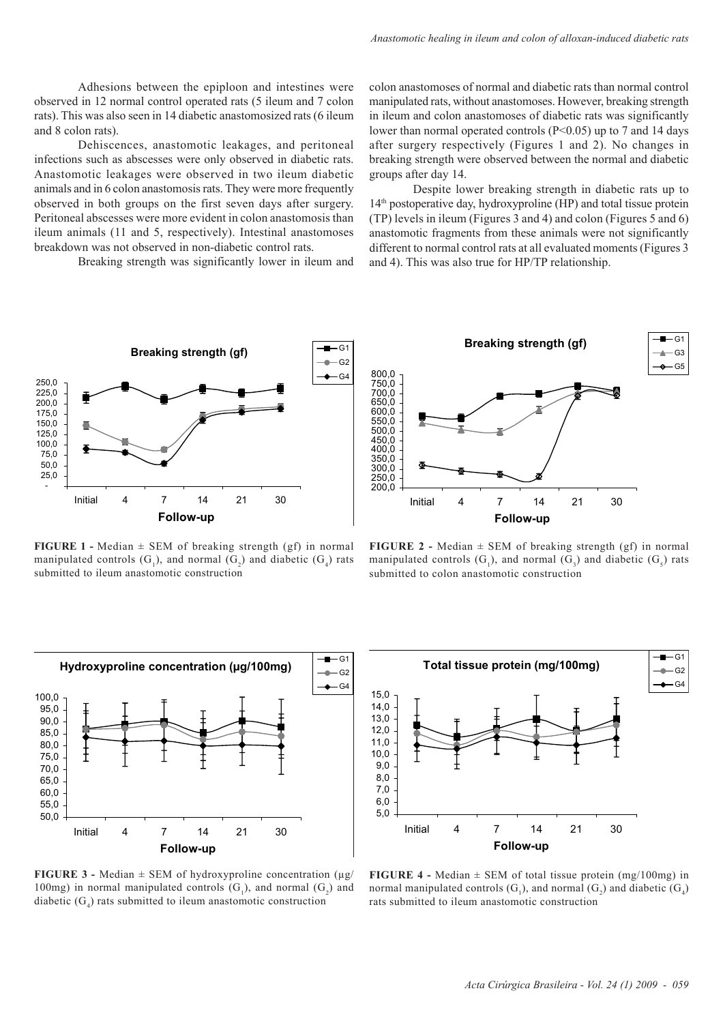Adhesions between the epiploon and intestines were observed in 12 normal control operated rats (5 ileum and 7 colon rats). This was also seen in 14 diabetic anastomosized rats (6 ileum and 8 colon rats).

Dehiscences, anastomotic leakages, and peritoneal infections such as abscesses were only observed in diabetic rats. Anastomotic leakages were observed in two ileum diabetic animals and in 6 colon anastomosis rats. They were more frequently observed in both groups on the first seven days after surgery. Peritoneal abscesses were more evident in colon anastomosis than ileum animals (11 and 5, respectively). Intestinal anastomoses breakdown was not observed in non-diabetic control rats.

Breaking strength was significantly lower in ileum and

colon anastomoses of normal and diabetic rats than normal control manipulated rats, without anastomoses. However, breaking strength in ileum and colon anastomoses of diabetic rats was significantly lower than normal operated controls (P<0.05) up to 7 and 14 days after surgery respectively (Figures 1 and 2). No changes in breaking strength were observed between the normal and diabetic groups after day 14.

Despite lower breaking strength in diabetic rats up to  $14<sup>th</sup>$  postoperative day, hydroxyproline (HP) and total tissue protein (TP) levels in ileum (Figures 3 and 4) and colon (Figures 5 and 6) anastomotic fragments from these animals were not significantly different to normal control rats at all evaluated moments (Figures 3 and 4). This was also true for HP/TP relationship.



**FIGURE 1 -** Median ± SEM of breaking strength (gf) in normal manipulated controls  $(G_1)$ , and normal  $(G_2)$  and diabetic  $(G_4)$  rats submitted to ileum anastomotic construction



**FIGURE 2** - Median  $\pm$  SEM of breaking strength (gf) in normal manipulated controls  $(G_1)$ , and normal  $(G_3)$  and diabetic  $(G_5)$  rats submitted to colon anastomotic construction



**FIGURE 3 -** Median  $\pm$  SEM of hydroxyproline concentration ( $\mu$ g/ 100mg) in normal manipulated controls  $(G_1)$ , and normal  $(G_2)$  and diabetic  $(G_4)$  rats submitted to ileum anastomotic construction



**FIGURE 4 -** Median  $\pm$  SEM of total tissue protein (mg/100mg) in normal manipulated controls  $(G_1)$ , and normal  $(G_2)$  and diabetic  $(G_4)$ rats submitted to ileum anastomotic construction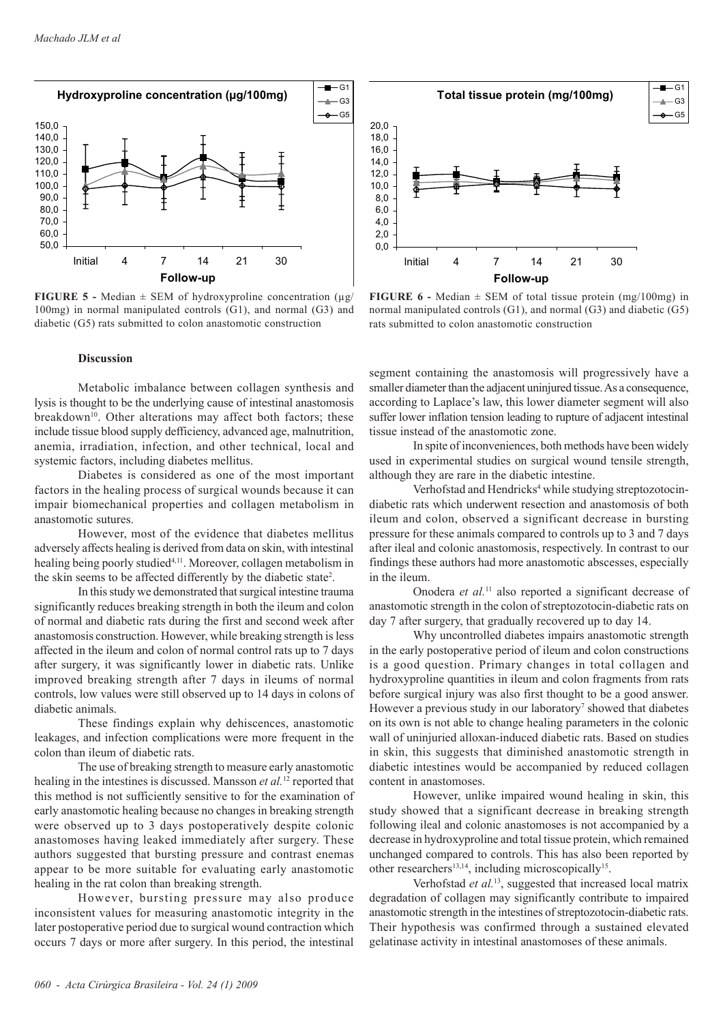

**FIGURE 5** - Median  $\pm$  SEM of hydroxyproline concentration ( $\mu$ g/ 100mg) in normal manipulated controls (G1), and normal (G3) and diabetic (G5) rats submitted to colon anastomotic construction

#### **Discussion**

Metabolic imbalance between collagen synthesis and lysis is thought to be the underlying cause of intestinal anastomosis breakdown<sup>10</sup>. Other alterations may affect both factors; these include tissue blood supply defficiency, advanced age, malnutrition, anemia, irradiation, infection, and other technical, local and systemic factors, including diabetes mellitus.

Diabetes is considered as one of the most important factors in the healing process of surgical wounds because it can impair biomechanical properties and collagen metabolism in anastomotic sutures.

However, most of the evidence that diabetes mellitus adversely affects healing is derived from data on skin, with intestinal healing being poorly studied<sup>4,11</sup>. Moreover, collagen metabolism in the skin seems to be affected differently by the diabetic state2 .

In this study we demonstrated that surgical intestine trauma significantly reduces breaking strength in both the ileum and colon of normal and diabetic rats during the first and second week after anastomosis construction. However, while breaking strength is less affected in the ileum and colon of normal control rats up to 7 days after surgery, it was significantly lower in diabetic rats. Unlike improved breaking strength after 7 days in ileums of normal controls, low values were still observed up to 14 days in colons of diabetic animals.

These findings explain why dehiscences, anastomotic leakages, and infection complications were more frequent in the colon than ileum of diabetic rats.

The use of breaking strength to measure early anastomotic healing in the intestines is discussed. Mansson *et al.*12 reported that this method is not sufficiently sensitive to for the examination of early anastomotic healing because no changes in breaking strength were observed up to 3 days postoperatively despite colonic anastomoses having leaked immediately after surgery. These authors suggested that bursting pressure and contrast enemas appear to be more suitable for evaluating early anastomotic healing in the rat colon than breaking strength.

However, bursting pressure may also produce inconsistent values for measuring anastomotic integrity in the later postoperative period due to surgical wound contraction which occurs 7 days or more after surgery. In this period, the intestinal



**FIGURE 6** - Median  $\pm$  SEM of total tissue protein (mg/100mg) in normal manipulated controls (G1), and normal (G3) and diabetic (G5) rats submitted to colon anastomotic construction

segment containing the anastomosis will progressively have a smaller diameter than the adjacent uninjured tissue. As a consequence, according to Laplace's law, this lower diameter segment will also suffer lower inflation tension leading to rupture of adjacent intestinal tissue instead of the anastomotic zone.

In spite of inconveniences, both methods have been widely used in experimental studies on surgical wound tensile strength, although they are rare in the diabetic intestine.

Verhofstad and Hendricks<sup>4</sup> while studying streptozotocindiabetic rats which underwent resection and anastomosis of both ileum and colon, observed a significant decrease in bursting pressure for these animals compared to controls up to 3 and 7 days after ileal and colonic anastomosis, respectively. In contrast to our findings these authors had more anastomotic abscesses, especially in the ileum.

Onodera *et al.*11 also reported a significant decrease of anastomotic strength in the colon of streptozotocin-diabetic rats on day 7 after surgery, that gradually recovered up to day 14.

Why uncontrolled diabetes impairs anastomotic strength in the early postoperative period of ileum and colon constructions is a good question. Primary changes in total collagen and hydroxyproline quantities in ileum and colon fragments from rats before surgical injury was also first thought to be a good answer. However a previous study in our laboratory<sup>7</sup> showed that diabetes on its own is not able to change healing parameters in the colonic wall of uninjuried alloxan-induced diabetic rats. Based on studies in skin, this suggests that diminished anastomotic strength in diabetic intestines would be accompanied by reduced collagen content in anastomoses.

However, unlike impaired wound healing in skin, this study showed that a significant decrease in breaking strength following ileal and colonic anastomoses is not accompanied by a decrease in hydroxyproline and total tissue protein, which remained unchanged compared to controls. This has also been reported by other researchers<sup>13,14</sup>, including microscopically<sup>15</sup>.

Verhofstad *et al.*13, suggested that increased local matrix degradation of collagen may significantly contribute to impaired anastomotic strength in the intestines of streptozotocin-diabetic rats. Their hypothesis was confirmed through a sustained elevated gelatinase activity in intestinal anastomoses of these animals.